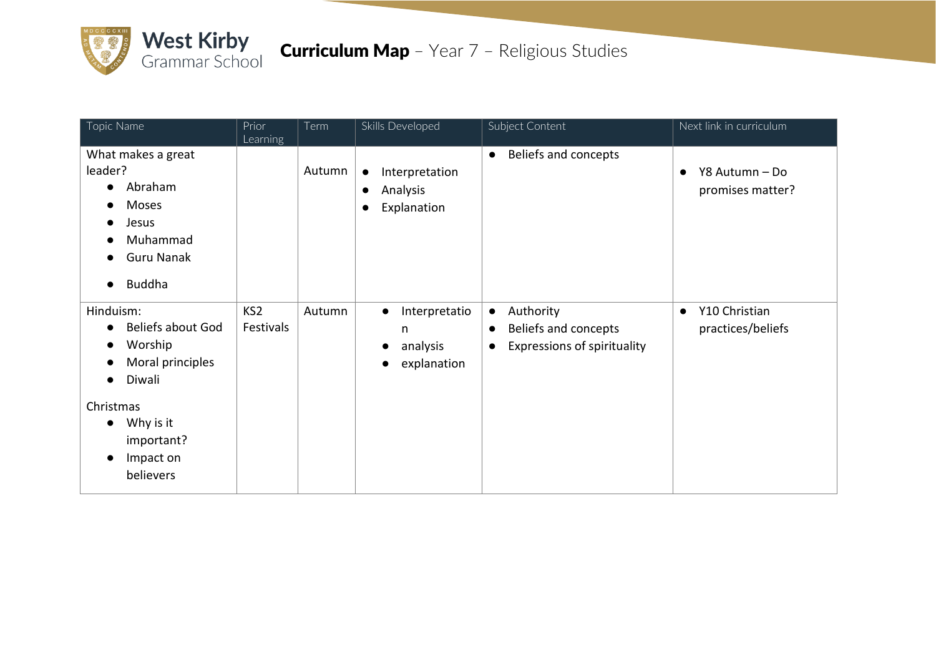

| Topic Name                                                                                                                                                    | Prior<br>Learning            | Term   | Skills Developed                                                                 | Subject Content                                                                                                | Next link in curriculum                         |
|---------------------------------------------------------------------------------------------------------------------------------------------------------------|------------------------------|--------|----------------------------------------------------------------------------------|----------------------------------------------------------------------------------------------------------------|-------------------------------------------------|
| What makes a great<br>leader?<br>Abraham<br>$\bullet$<br>Moses<br>Jesus<br>Muhammad<br><b>Guru Nanak</b><br><b>Buddha</b>                                     |                              | Autumn | Interpretation<br>$\bullet$<br>Analysis<br>$\bullet$<br>Explanation<br>$\bullet$ | Beliefs and concepts<br>$\bullet$                                                                              | Y8 Autumn - Do<br>$\bullet$<br>promises matter? |
| Hinduism:<br><b>Beliefs about God</b><br>Worship<br>Moral principles<br>Diwali<br>Christmas<br>Why is it<br>$\bullet$<br>important?<br>Impact on<br>believers | KS <sub>2</sub><br>Festivals | Autumn | Interpretatio<br>$\bullet$<br>n<br>analysis<br>explanation                       | Authority<br>$\bullet$<br>Beliefs and concepts<br>$\bullet$<br><b>Expressions of spirituality</b><br>$\bullet$ | Y10 Christian<br>$\bullet$<br>practices/beliefs |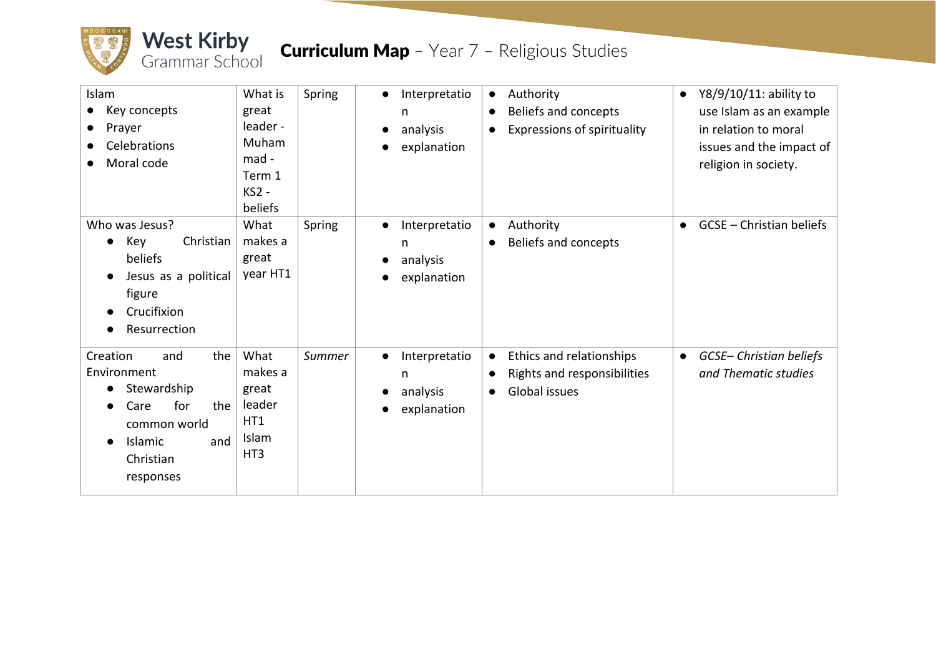

| Islam<br>Key concepts<br>Prayer<br>Celebrations<br>Moral code                                                                          | What is<br>great<br>leader -<br>Muham<br>mad -<br>Term 1<br>KS2 -<br>beliefs | Spring | Interpretatio<br>n<br>analysis<br>explanation | Authority<br>$\bullet$<br>Beliefs and concepts<br>$\bullet$<br><b>Expressions of spirituality</b><br>$\bullet$  | Y8/9/10/11: ability to<br>$\bullet$<br>use Islam as an example<br>in relation to moral<br>issues and the impact of<br>religion in society. |
|----------------------------------------------------------------------------------------------------------------------------------------|------------------------------------------------------------------------------|--------|-----------------------------------------------|-----------------------------------------------------------------------------------------------------------------|--------------------------------------------------------------------------------------------------------------------------------------------|
| Who was Jesus?<br>Christian<br>Key<br>beliefs<br>Jesus as a political<br>figure<br>Crucifixion<br>Resurrection                         | What<br>makes a<br>great<br>year HT1                                         | Spring | Interpretatio<br>n<br>analysis<br>explanation | Authority<br>$\bullet$<br>Beliefs and concepts<br>$\bullet$                                                     | <b>GCSE</b> – Christian beliefs<br>$\bullet$                                                                                               |
| Creation<br>the<br>and<br>Environment<br>Stewardship<br>for<br>the<br>Care<br>common world<br>Islamic<br>and<br>Christian<br>responses | What<br>makes a<br>great<br>leader<br>HT1<br>Islam<br>HT <sub>3</sub>        | Summer | Interpretatio<br>n<br>analysis<br>explanation | Ethics and relationships<br>$\bullet$<br>Rights and responsibilities<br>$\bullet$<br>Global issues<br>$\bullet$ | GCSE- Christian beliefs<br>$\bullet$<br>and Thematic studies                                                                               |